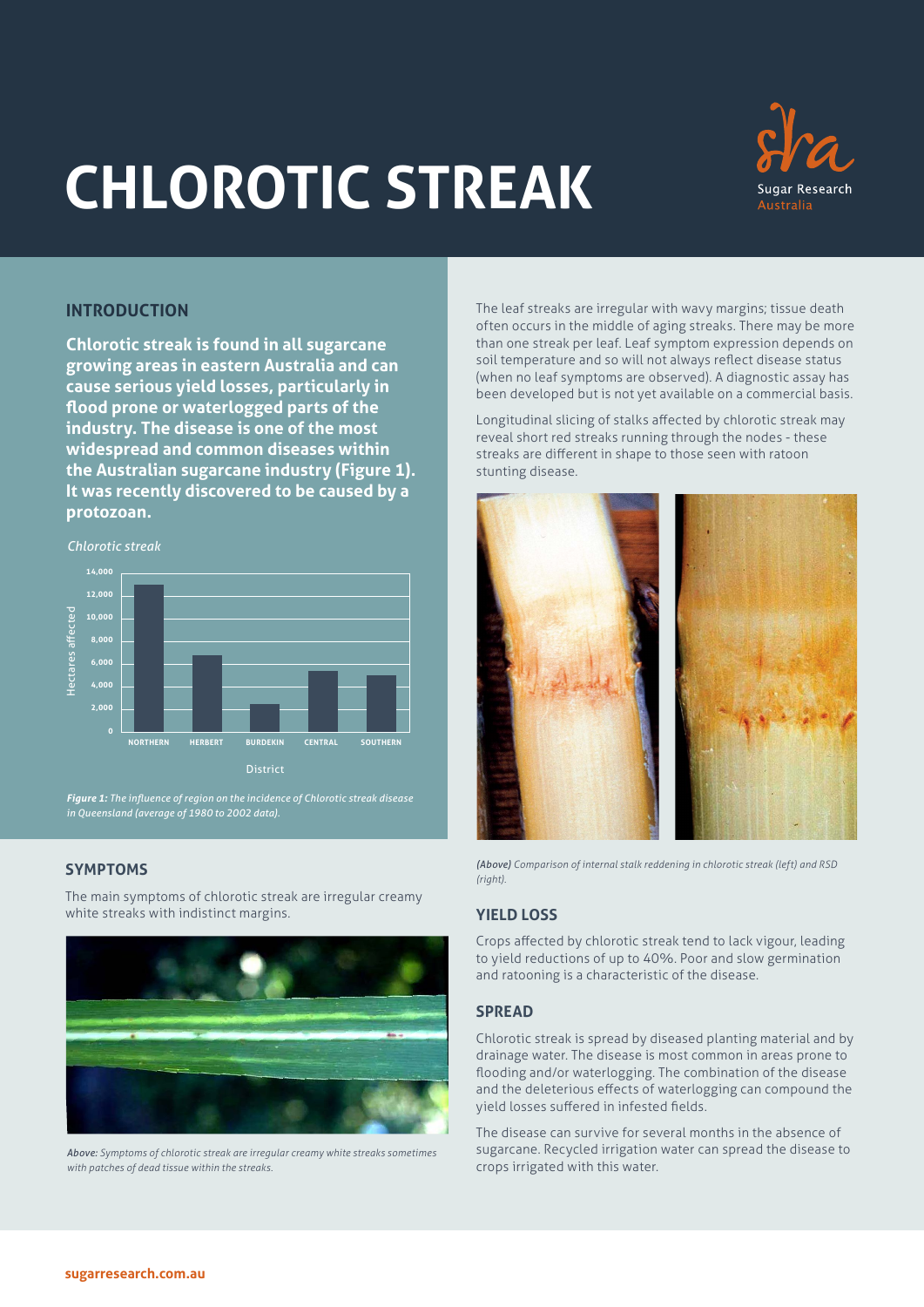# **CHLOROTIC STREAK**



# **INTRODUCTION**

**Chlorotic streak is found in all sugarcane growing areas in eastern Australia and can cause serious yield losses, particularly in flood prone or waterlogged parts of the industry. The disease is one of the most widespread and common diseases within the Australian sugarcane industry (Figure 1). It was recently discovered to be caused by a protozoan.**

*Chlorotic streak*



*Figure 1: The influence of region on the incidence of Chlorotic streak disease in Queensland (average of 1980 to 2002 data).* 

# **SYMPTOMS**

The main symptoms of chlorotic streak are irregular creamy white streaks with indistinct margins.



*Above: Symptoms of chlorotic streak are irregular creamy white streaks sometimes with patches of dead tissue within the streaks.* 

The leaf streaks are irregular with wavy margins; tissue death often occurs in the middle of aging streaks. There may be more than one streak per leaf. Leaf symptom expression depends on soil temperature and so will not always reflect disease status (when no leaf symptoms are observed). A diagnostic assay has been developed but is not yet available on a commercial basis.

Longitudinal slicing of stalks affected by chlorotic streak may reveal short red streaks running through the nodes - these streaks are different in shape to those seen with ratoon stunting disease.



*(Above) Comparison of internal stalk reddening in chlorotic streak (left) and RSD (right).* 

# **YIELD LOSS**

Crops affected by chlorotic streak tend to lack vigour, leading to yield reductions of up to 40%. Poor and slow germination and ratooning is a characteristic of the disease.

### **SPREAD**

Chlorotic streak is spread by diseased planting material and by drainage water. The disease is most common in areas prone to flooding and/or waterlogging. The combination of the disease and the deleterious effects of waterlogging can compound the yield losses suffered in infested fields.

The disease can survive for several months in the absence of sugarcane. Recycled irrigation water can spread the disease to crops irrigated with this water.